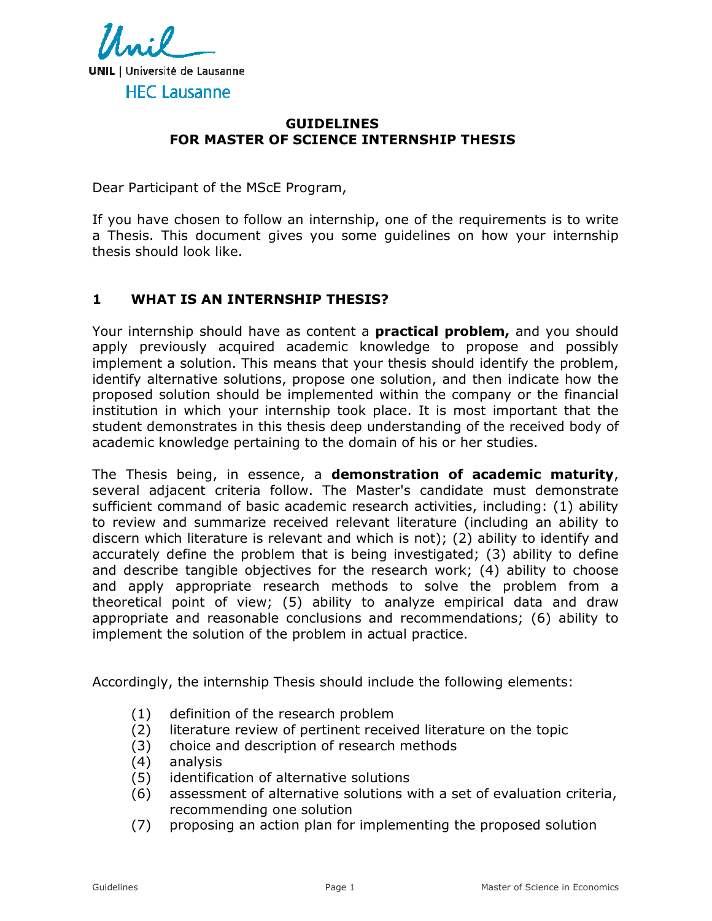

#### **GUIDELINES FOR MASTER OF SCIENCE INTERNSHIP THESIS**

Dear Participant of the MScE Program,

If you have chosen to follow an internship, one of the requirements is to write a Thesis. This document gives you some guidelines on how your internship thesis should look like.

#### **1 WHAT IS AN INTERNSHIP THESIS?**

Your internship should have as content a **practical problem,** and you should apply previously acquired academic knowledge to propose and possibly implement a solution. This means that your thesis should identify the problem, identify alternative solutions, propose one solution, and then indicate how the proposed solution should be implemented within the company or the financial institution in which your internship took place. It is most important that the student demonstrates in this thesis deep understanding of the received body of academic knowledge pertaining to the domain of his or her studies.

The Thesis being, in essence, a **demonstration of academic maturity**, several adjacent criteria follow. The Master's candidate must demonstrate sufficient command of basic academic research activities, including: (1) ability to review and summarize received relevant literature (including an ability to discern which literature is relevant and which is not); (2) ability to identify and accurately define the problem that is being investigated; (3) ability to define and describe tangible objectives for the research work; (4) ability to choose and apply appropriate research methods to solve the problem from a theoretical point of view; (5) ability to analyze empirical data and draw appropriate and reasonable conclusions and recommendations; (6) ability to implement the solution of the problem in actual practice.

Accordingly, the internship Thesis should include the following elements:

- (1) definition of the research problem
- (2) literature review of pertinent received literature on the topic
- (3) choice and description of research methods
- (4) analysis
- (5) identification of alternative solutions
- (6) assessment of alternative solutions with a set of evaluation criteria, recommending one solution
- (7) proposing an action plan for implementing the proposed solution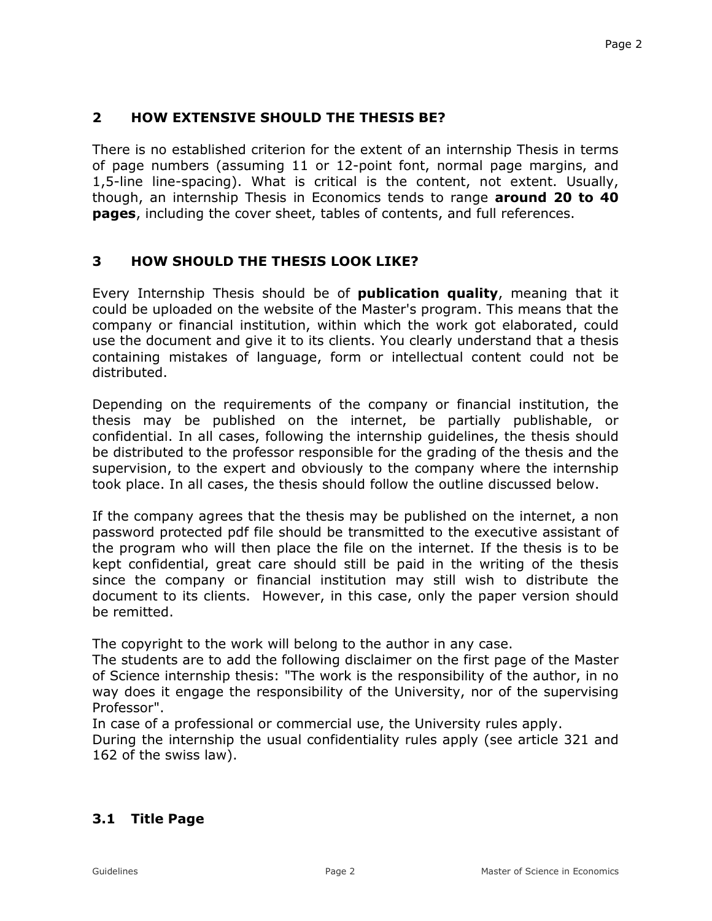### **2 HOW EXTENSIVE SHOULD THE THESIS BE?**

There is no established criterion for the extent of an internship Thesis in terms of page numbers (assuming 11 or 12-point font, normal page margins, and 1,5-line line-spacing). What is critical is the content, not extent. Usually, though, an internship Thesis in Economics tends to range **around 20 to 40 pages**, including the cover sheet, tables of contents, and full references.

### **3 HOW SHOULD THE THESIS LOOK LIKE?**

Every Internship Thesis should be of **publication quality**, meaning that it could be uploaded on the website of the Master's program. This means that the company or financial institution, within which the work got elaborated, could use the document and give it to its clients. You clearly understand that a thesis containing mistakes of language, form or intellectual content could not be distributed.

Depending on the requirements of the company or financial institution, the thesis may be published on the internet, be partially publishable, or confidential. In all cases, following the internship guidelines, the thesis should be distributed to the professor responsible for the grading of the thesis and the supervision, to the expert and obviously to the company where the internship took place. In all cases, the thesis should follow the outline discussed below.

If the company agrees that the thesis may be published on the internet, a non password protected pdf file should be transmitted to the executive assistant of the program who will then place the file on the internet. If the thesis is to be kept confidential, great care should still be paid in the writing of the thesis since the company or financial institution may still wish to distribute the document to its clients. However, in this case, only the paper version should be remitted.

The copyright to the work will belong to the author in any case.

The students are to add the following disclaimer on the first page of the Master of Science internship thesis: "The work is the responsibility of the author, in no way does it engage the responsibility of the University, nor of the supervising Professor".

In case of a professional or commercial use, the University rules apply.

During the internship the usual confidentiality rules apply (see article 321 and 162 of the swiss law).

### **3.1 Title Page**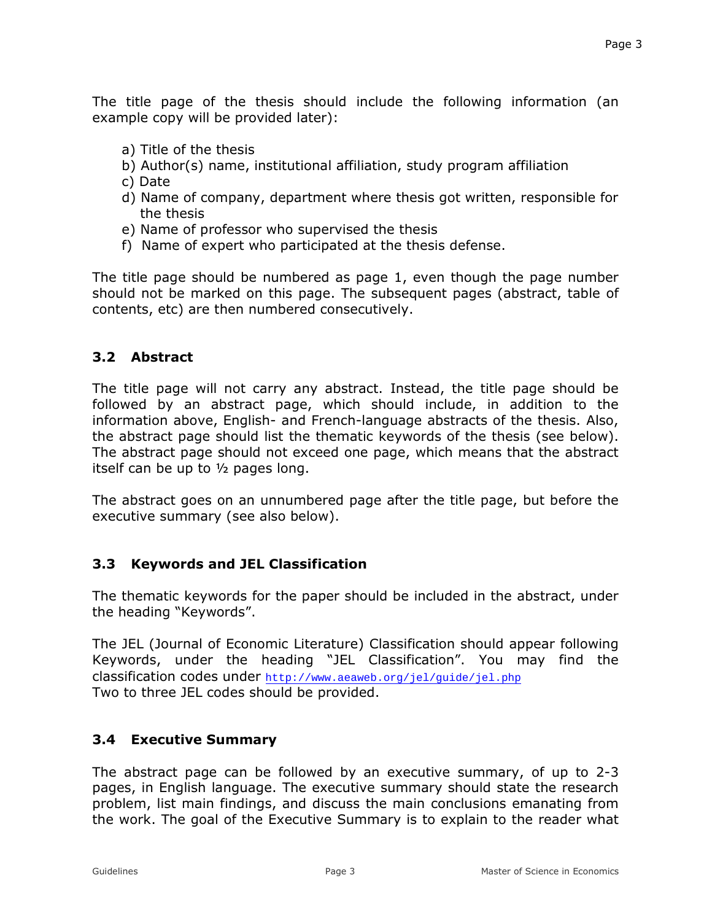The title page of the thesis should include the following information (an example copy will be provided later):

- a) Title of the thesis
- b) Author(s) name, institutional affiliation, study program affiliation
- c) Date
- d) Name of company, department where thesis got written, responsible for the thesis
- e) Name of professor who supervised the thesis
- f) Name of expert who participated at the thesis defense.

The title page should be numbered as page 1, even though the page number should not be marked on this page. The subsequent pages (abstract, table of contents, etc) are then numbered consecutively.

### **3.2 Abstract**

The title page will not carry any abstract. Instead, the title page should be followed by an abstract page, which should include, in addition to the information above, English- and French-language abstracts of the thesis. Also, the abstract page should list the thematic keywords of the thesis (see below). The abstract page should not exceed one page, which means that the abstract itself can be up to ½ pages long.

The abstract goes on an unnumbered page after the title page, but before the executive summary (see also below).

# **3.3 Keywords and JEL Classification**

The thematic keywords for the paper should be included in the abstract, under the heading "Keywords".

The JEL (Journal of Economic Literature) Classification should appear following Keywords, under the heading "JEL Classification". You may find the classification codes under http://www.aeaweb.org/jel/guide/jel.php Two to three JEL codes should be provided.

# **3.4 Executive Summary**

The abstract page can be followed by an executive summary, of up to 2-3 pages, in English language. The executive summary should state the research problem, list main findings, and discuss the main conclusions emanating from the work. The goal of the Executive Summary is to explain to the reader what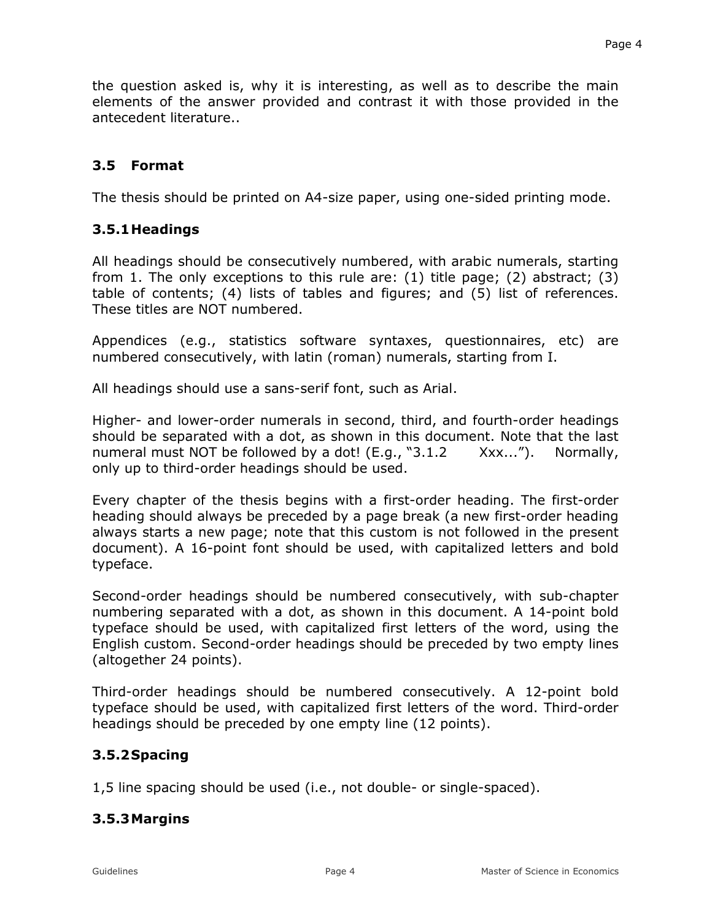the question asked is, why it is interesting, as well as to describe the main elements of the answer provided and contrast it with those provided in the antecedent literature..

### **3.5 Format**

The thesis should be printed on A4-size paper, using one-sided printing mode.

### **3.5.1 Headings**

All headings should be consecutively numbered, with arabic numerals, starting from 1. The only exceptions to this rule are: (1) title page; (2) abstract; (3) table of contents; (4) lists of tables and figures; and (5) list of references. These titles are NOT numbered.

Appendices (e.g., statistics software syntaxes, questionnaires, etc) are numbered consecutively, with latin (roman) numerals, starting from I.

All headings should use a sans-serif font, such as Arial.

Higher- and lower-order numerals in second, third, and fourth-order headings should be separated with a dot, as shown in this document. Note that the last numeral must NOT be followed by a dot! (E.g., "3.1.2 Xxx..."). Normally, only up to third-order headings should be used.

Every chapter of the thesis begins with a first-order heading. The first-order heading should always be preceded by a page break (a new first-order heading always starts a new page; note that this custom is not followed in the present document). A 16-point font should be used, with capitalized letters and bold typeface.

Second-order headings should be numbered consecutively, with sub-chapter numbering separated with a dot, as shown in this document. A 14-point bold typeface should be used, with capitalized first letters of the word, using the English custom. Second-order headings should be preceded by two empty lines (altogether 24 points).

Third-order headings should be numbered consecutively. A 12-point bold typeface should be used, with capitalized first letters of the word. Third-order headings should be preceded by one empty line (12 points).

### **3.5.2 Spacing**

1,5 line spacing should be used (i.e., not double- or single-spaced).

### **3.5.3 Margins**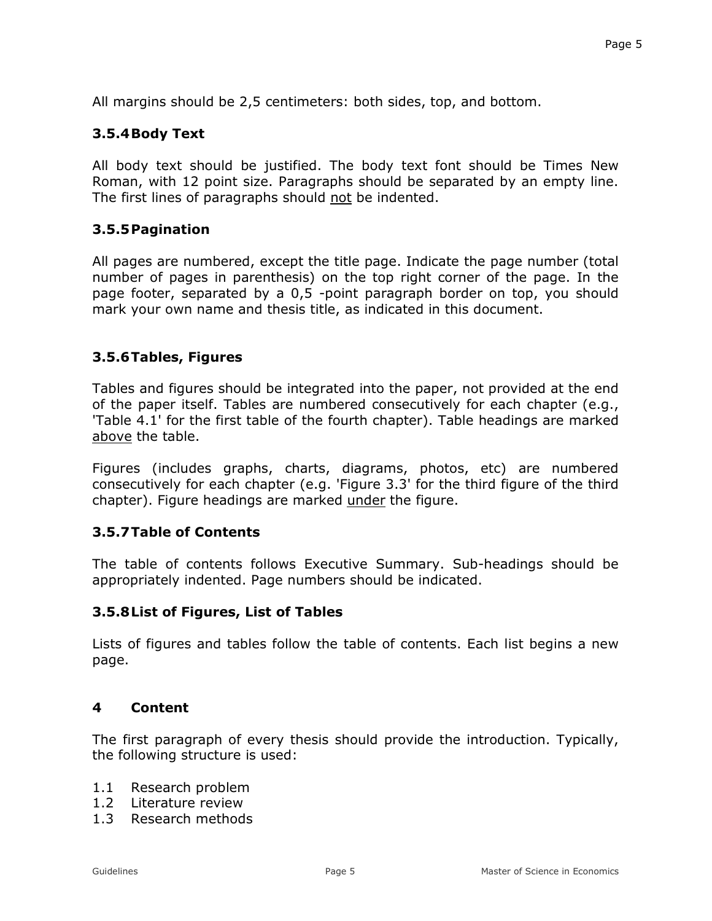All margins should be 2,5 centimeters: both sides, top, and bottom.

# **3.5.4 Body Text**

All body text should be justified. The body text font should be Times New Roman, with 12 point size. Paragraphs should be separated by an empty line. The first lines of paragraphs should not be indented.

# **3.5.5 Pagination**

All pages are numbered, except the title page. Indicate the page number (total number of pages in parenthesis) on the top right corner of the page. In the page footer, separated by a 0,5 -point paragraph border on top, you should mark your own name and thesis title, as indicated in this document.

# **3.5.6 Tables, Figures**

Tables and figures should be integrated into the paper, not provided at the end of the paper itself. Tables are numbered consecutively for each chapter (e.g., 'Table 4.1' for the first table of the fourth chapter). Table headings are marked above the table.

Figures (includes graphs, charts, diagrams, photos, etc) are numbered consecutively for each chapter (e.g. 'Figure 3.3' for the third figure of the third chapter). Figure headings are marked under the figure.

# **3.5.7 Table of Contents**

The table of contents follows Executive Summary. Sub-headings should be appropriately indented. Page numbers should be indicated.

# **3.5.8 List of Figures, List of Tables**

Lists of figures and tables follow the table of contents. Each list begins a new page.

### **4 Content**

The first paragraph of every thesis should provide the introduction. Typically, the following structure is used:

- 1.1 Research problem
- 1.2 Literature review
- 1.3 Research methods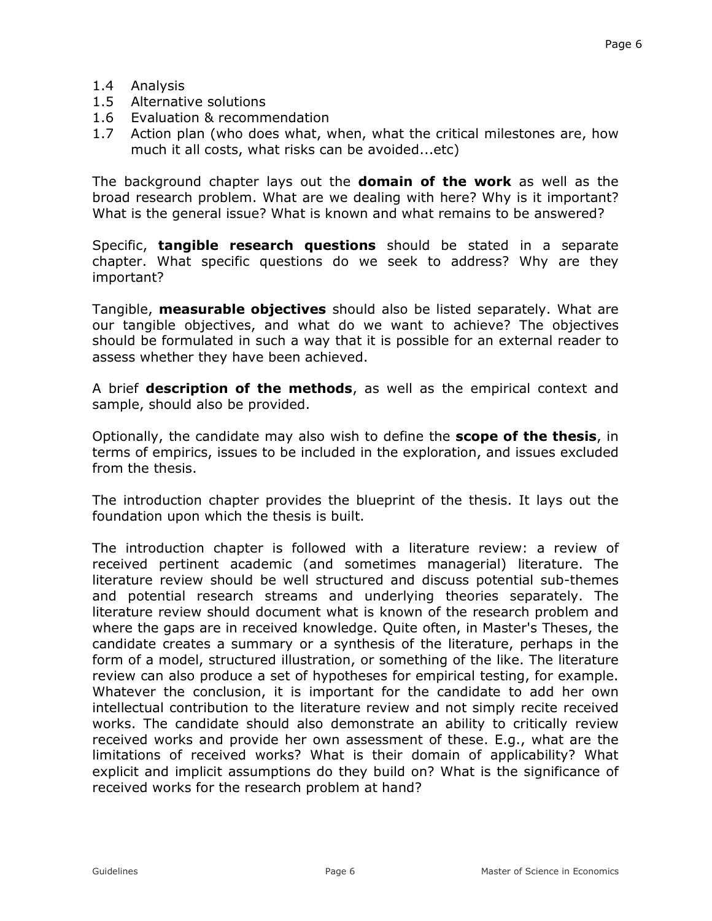- 1.4 Analysis
- 1.5 Alternative solutions
- 1.6 Evaluation & recommendation
- 1.7 Action plan (who does what, when, what the critical milestones are, how much it all costs, what risks can be avoided...etc)

The background chapter lays out the **domain of the work** as well as the broad research problem. What are we dealing with here? Why is it important? What is the general issue? What is known and what remains to be answered?

Specific, **tangible research questions** should be stated in a separate chapter. What specific questions do we seek to address? Why are they important?

Tangible, **measurable objectives** should also be listed separately. What are our tangible objectives, and what do we want to achieve? The objectives should be formulated in such a way that it is possible for an external reader to assess whether they have been achieved.

A brief **description of the methods**, as well as the empirical context and sample, should also be provided.

Optionally, the candidate may also wish to define the **scope of the thesis**, in terms of empirics, issues to be included in the exploration, and issues excluded from the thesis.

The introduction chapter provides the blueprint of the thesis. It lays out the foundation upon which the thesis is built.

The introduction chapter is followed with a literature review: a review of received pertinent academic (and sometimes managerial) literature. The literature review should be well structured and discuss potential sub-themes and potential research streams and underlying theories separately. The literature review should document what is known of the research problem and where the gaps are in received knowledge. Quite often, in Master's Theses, the candidate creates a summary or a synthesis of the literature, perhaps in the form of a model, structured illustration, or something of the like. The literature review can also produce a set of hypotheses for empirical testing, for example. Whatever the conclusion, it is important for the candidate to add her own intellectual contribution to the literature review and not simply recite received works. The candidate should also demonstrate an ability to critically review received works and provide her own assessment of these. E.g., what are the limitations of received works? What is their domain of applicability? What explicit and implicit assumptions do they build on? What is the significance of received works for the research problem at hand?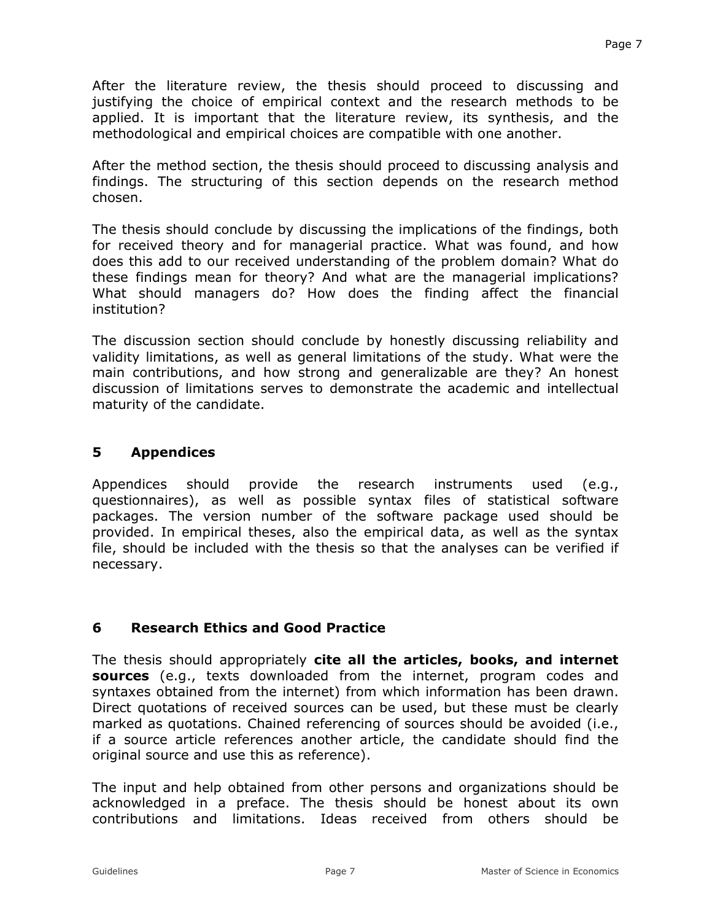After the literature review, the thesis should proceed to discussing and justifying the choice of empirical context and the research methods to be applied. It is important that the literature review, its synthesis, and the methodological and empirical choices are compatible with one another.

After the method section, the thesis should proceed to discussing analysis and findings. The structuring of this section depends on the research method chosen.

The thesis should conclude by discussing the implications of the findings, both for received theory and for managerial practice. What was found, and how does this add to our received understanding of the problem domain? What do these findings mean for theory? And what are the managerial implications? What should managers do? How does the finding affect the financial institution?

The discussion section should conclude by honestly discussing reliability and validity limitations, as well as general limitations of the study. What were the main contributions, and how strong and generalizable are they? An honest discussion of limitations serves to demonstrate the academic and intellectual maturity of the candidate.

### **5 Appendices**

Appendices should provide the research instruments used (e.g., questionnaires), as well as possible syntax files of statistical software packages. The version number of the software package used should be provided. In empirical theses, also the empirical data, as well as the syntax file, should be included with the thesis so that the analyses can be verified if necessary.

# **6 Research Ethics and Good Practice**

The thesis should appropriately **cite all the articles, books, and internet sources** (e.g., texts downloaded from the internet, program codes and syntaxes obtained from the internet) from which information has been drawn. Direct quotations of received sources can be used, but these must be clearly marked as quotations. Chained referencing of sources should be avoided (i.e., if a source article references another article, the candidate should find the original source and use this as reference).

The input and help obtained from other persons and organizations should be acknowledged in a preface. The thesis should be honest about its own contributions and limitations. Ideas received from others should be